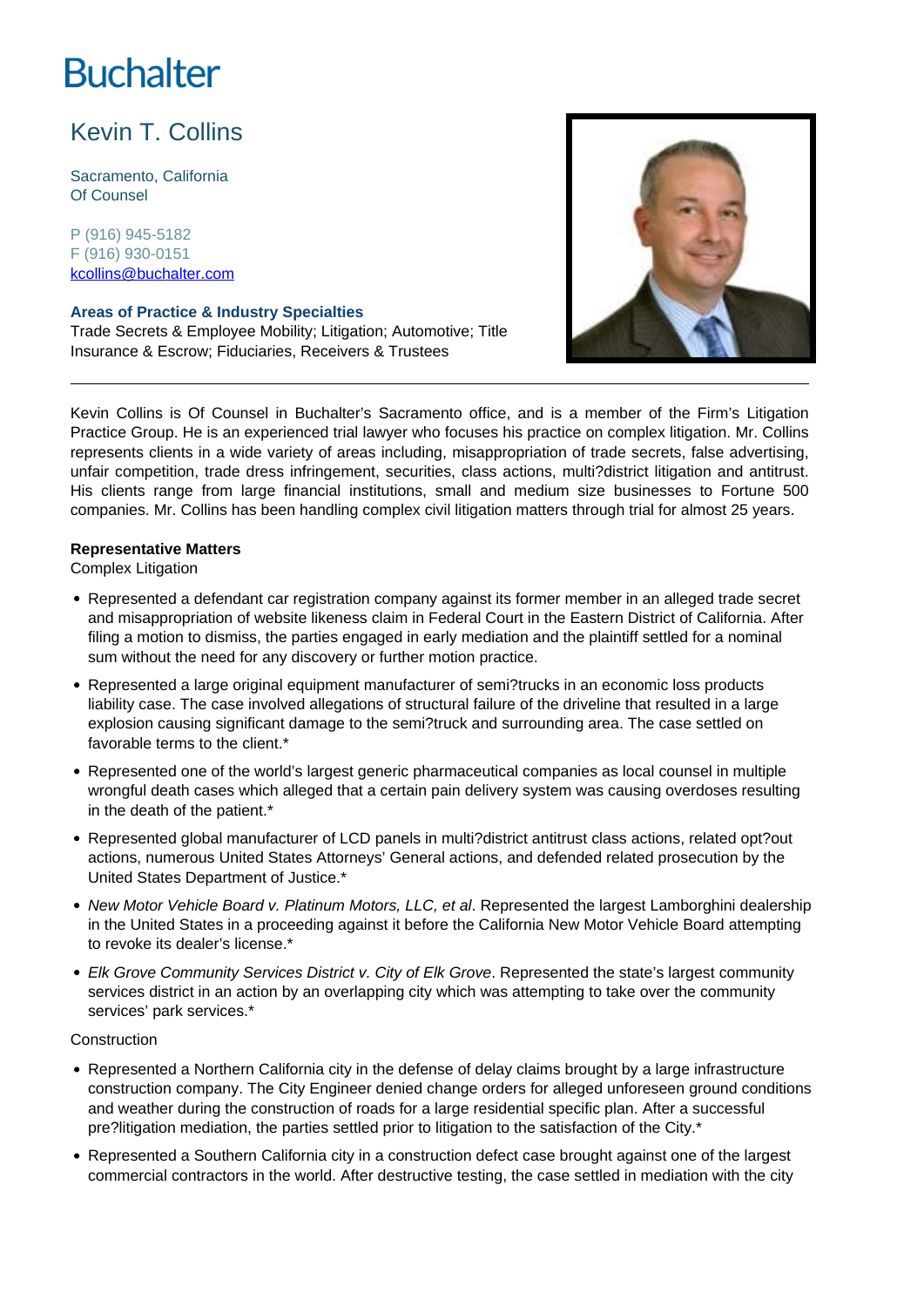# **Buchalter**

# Kevin T. Collins

Sacramento, California Of Counsel

P (916) 945-5182 F (916) 930-0151 kcollins@buchalter.com

# **Areas of Practice & Industry Specialties**

Trade Secrets & Employee Mobility; Litigation; Automotive; Title Insurance & Escrow; Fiduciaries, Receivers & Trustees



Kevin Collins is Of Counsel in Buchalter's Sacramento office, and is a member of the Firm's Litigation Practice Group. He is an experienced trial lawyer who focuses his practice on complex litigation. Mr. Collins represents clients in a wide variety of areas including, misappropriation of trade secrets, false advertising, unfair competition, trade dress infringement, securities, class actions, multi?district litigation and antitrust. His clients range from large financial institutions, small and medium size businesses to Fortune 500 companies. Mr. Collins has been handling complex civil litigation matters through trial for almost 25 years.

#### **Representative Matters**

Complex Litigation

- Represented a defendant car registration company against its former member in an alleged trade secret and misappropriation of website likeness claim in Federal Court in the Eastern District of California. After filing a motion to dismiss, the parties engaged in early mediation and the plaintiff settled for a nominal sum without the need for any discovery or further motion practice.
- Represented a large original equipment manufacturer of semi?trucks in an economic loss products liability case. The case involved allegations of structural failure of the driveline that resulted in a large explosion causing significant damage to the semi?truck and surrounding area. The case settled on favorable terms to the client.\*
- Represented one of the world's largest generic pharmaceutical companies as local counsel in multiple wrongful death cases which alleged that a certain pain delivery system was causing overdoses resulting in the death of the patient.\*
- Represented global manufacturer of LCD panels in multi?district antitrust class actions, related opt?out actions, numerous United States Attorneys' General actions, and defended related prosecution by the United States Department of Justice.\*
- New Motor Vehicle Board v. Platinum Motors, LLC, et al. Represented the largest Lamborghini dealership in the United States in a proceeding against it before the California New Motor Vehicle Board attempting to revoke its dealer's license.\*
- Elk Grove Community Services District v. City of Elk Grove. Represented the state's largest community services district in an action by an overlapping city which was attempting to take over the community services' park services.\*

# **Construction**

- Represented a Northern California city in the defense of delay claims brought by a large infrastructure construction company. The City Engineer denied change orders for alleged unforeseen ground conditions and weather during the construction of roads for a large residential specific plan. After a successful pre?litigation mediation, the parties settled prior to litigation to the satisfaction of the City.\*
- Represented a Southern California city in a construction defect case brought against one of the largest commercial contractors in the world. After destructive testing, the case settled in mediation with the city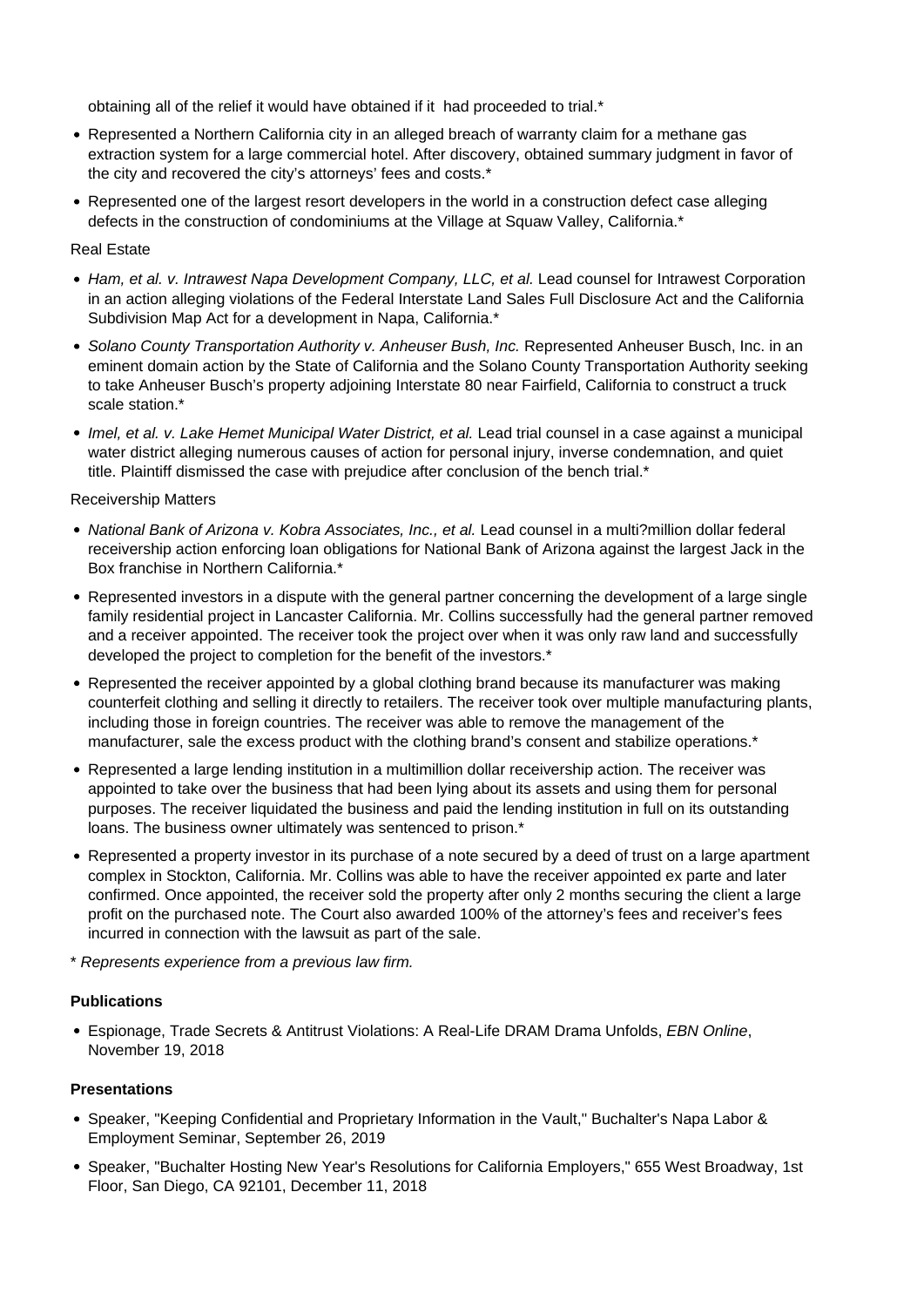obtaining all of the relief it would have obtained if it had proceeded to trial.\*

- Represented a Northern California city in an alleged breach of warranty claim for a methane gas extraction system for a large commercial hotel. After discovery, obtained summary judgment in favor of the city and recovered the city's attorneys' fees and costs.\*
- Represented one of the largest resort developers in the world in a construction defect case alleging defects in the construction of condominiums at the Village at Squaw Valley, California.\*

# Real Estate

- Ham, et al. v. Intrawest Napa Development Company, LLC, et al. Lead counsel for Intrawest Corporation in an action alleging violations of the Federal Interstate Land Sales Full Disclosure Act and the California Subdivision Map Act for a development in Napa, California.\*
- Solano County Transportation Authority v. Anheuser Bush, Inc. Represented Anheuser Busch, Inc. in an eminent domain action by the State of California and the Solano County Transportation Authority seeking to take Anheuser Busch's property adjoining Interstate 80 near Fairfield, California to construct a truck scale station.\*
- Imel, et al. v. Lake Hemet Municipal Water District, et al. Lead trial counsel in a case against a municipal water district alleging numerous causes of action for personal injury, inverse condemnation, and quiet title. Plaintiff dismissed the case with prejudice after conclusion of the bench trial.\*

#### Receivership Matters

- National Bank of Arizona v. Kobra Associates, Inc., et al. Lead counsel in a multi?million dollar federal receivership action enforcing loan obligations for National Bank of Arizona against the largest Jack in the Box franchise in Northern California.\*
- Represented investors in a dispute with the general partner concerning the development of a large single family residential project in Lancaster California. Mr. Collins successfully had the general partner removed and a receiver appointed. The receiver took the project over when it was only raw land and successfully developed the project to completion for the benefit of the investors.\*
- Represented the receiver appointed by a global clothing brand because its manufacturer was making counterfeit clothing and selling it directly to retailers. The receiver took over multiple manufacturing plants, including those in foreign countries. The receiver was able to remove the management of the manufacturer, sale the excess product with the clothing brand's consent and stabilize operations.\*
- Represented a large lending institution in a multimillion dollar receivership action. The receiver was appointed to take over the business that had been lying about its assets and using them for personal purposes. The receiver liquidated the business and paid the lending institution in full on its outstanding loans. The business owner ultimately was sentenced to prison.<sup>\*</sup>
- Represented a property investor in its purchase of a note secured by a deed of trust on a large apartment complex in Stockton, California. Mr. Collins was able to have the receiver appointed ex parte and later confirmed. Once appointed, the receiver sold the property after only 2 months securing the client a large profit on the purchased note. The Court also awarded 100% of the attorney's fees and receiver's fees incurred in connection with the lawsuit as part of the sale.
- \* Represents experience from a previous law firm.

# **Publications**

Espionage, Trade Secrets & Antitrust Violations: A Real-Life DRAM Drama Unfolds, EBN Online, November 19, 2018

# **Presentations**

- Speaker, "Keeping Confidential and Proprietary Information in the Vault," Buchalter's Napa Labor & Employment Seminar, September 26, 2019
- Speaker, "Buchalter Hosting New Year's Resolutions for California Employers," 655 West Broadway, 1st Floor, San Diego, CA 92101, December 11, 2018